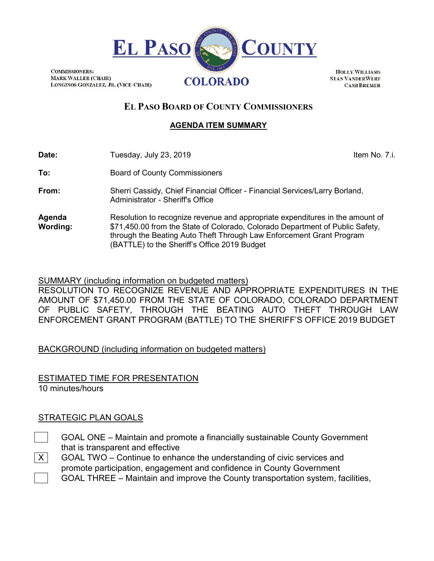

**COMMISSIONERS: MARK WALLER (CHAIR)** LONGINOS GONZALEZ, JR. (VICE-CHAIR)

**HOLLY WILLIAMS STAN VANDERWERF CAMI BREMER** 

# **EL PASO BOARD OF COUNTY COMMISSIONERS**

# **AGENDA ITEM SUMMARY**

| Date: | Tuesday, July 23, 2019<br>$\sim$ $\sim$ $\sim$ $\sim$ | Item No. 7.i. |
|-------|-------------------------------------------------------|---------------|
|-------|-------------------------------------------------------|---------------|

**To:** Board of County Commissioners

**From:** Sherri Cassidy, Chief Financial Officer - Financial Services/Larry Borland, Administrator - Sheriff's Office

**Agenda Wording:** Resolution to recognize revenue and appropriate expenditures in the amount of \$71,450.00 from the State of Colorado, Colorado Department of Public Safety, through the Beating Auto Theft Through Law Enforcement Grant Program (BATTLE) to the Sheriff's Office 2019 Budget

# SUMMARY (including information on budgeted matters)

RESOLUTION TO RECOGNIZE REVENUE AND APPROPRIATE EXPENDITURES IN THE AMOUNT OF \$71,450.00 FROM THE STATE OF COLORADO, COLORADO DEPARTMENT OF PUBLIC SAFETY, THROUGH THE BEATING AUTO THEFT THROUGH LAW ENFORCEMENT GRANT PROGRAM (BATTLE) TO THE SHERIFF'S OFFICE 2019 BUDGET

BACKGROUND (including information on budgeted matters)

ESTIMATED TIME FOR PRESENTATION 10 minutes/hours

# STRATEGIC PLAN GOALS

- GOAL ONE Maintain and promote a financially sustainable County Government that is transparent and effective
- $X$  GOAL TWO Continue to enhance the understanding of civic services and promote participation, engagement and confidence in County Government GOAL THREE – Maintain and improve the County transportation system, facilities,